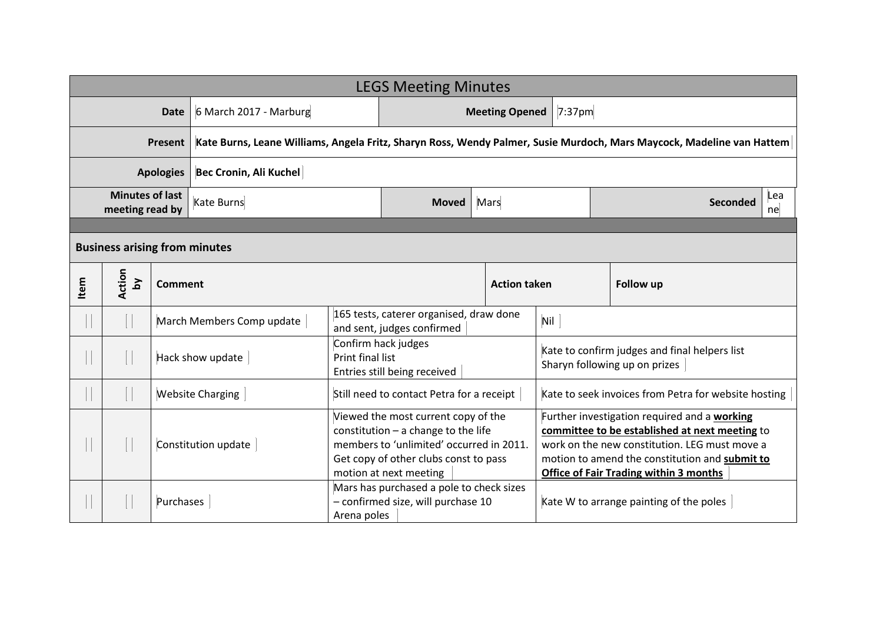| <b>LEGS Meeting Minutes</b>               |              |                |                                                                                                                       |                                                                         |                                                                                                                                                                                             |                     |           |                                                                                                                                                                                                                                                    |                       |  |  |
|-------------------------------------------|--------------|----------------|-----------------------------------------------------------------------------------------------------------------------|-------------------------------------------------------------------------|---------------------------------------------------------------------------------------------------------------------------------------------------------------------------------------------|---------------------|-----------|----------------------------------------------------------------------------------------------------------------------------------------------------------------------------------------------------------------------------------------------------|-----------------------|--|--|
| Date                                      |              |                | 6 March 2017 - Marburg                                                                                                |                                                                         | <b>Meeting Opened</b>                                                                                                                                                                       |                     | $7:37$ pm |                                                                                                                                                                                                                                                    |                       |  |  |
| Present                                   |              |                | Kate Burns, Leane Williams, Angela Fritz, Sharyn Ross, Wendy Palmer, Susie Murdoch, Mars Maycock, Madeline van Hattem |                                                                         |                                                                                                                                                                                             |                     |           |                                                                                                                                                                                                                                                    |                       |  |  |
| <b>Apologies</b>                          |              |                | Bec Cronin, Ali Kuchel                                                                                                |                                                                         |                                                                                                                                                                                             |                     |           |                                                                                                                                                                                                                                                    |                       |  |  |
| <b>Minutes of last</b><br>meeting read by |              |                | Kate Burns                                                                                                            |                                                                         | <b>Moved</b>                                                                                                                                                                                | Mars                |           |                                                                                                                                                                                                                                                    | Lea<br>Seconded<br>ne |  |  |
|                                           |              |                |                                                                                                                       |                                                                         |                                                                                                                                                                                             |                     |           |                                                                                                                                                                                                                                                    |                       |  |  |
| <b>Business arising from minutes</b>      |              |                |                                                                                                                       |                                                                         |                                                                                                                                                                                             |                     |           |                                                                                                                                                                                                                                                    |                       |  |  |
| Item                                      | Action<br>λq | <b>Comment</b> |                                                                                                                       |                                                                         |                                                                                                                                                                                             | <b>Action taken</b> |           |                                                                                                                                                                                                                                                    | <b>Follow up</b>      |  |  |
|                                           |              |                | March Members Comp update                                                                                             |                                                                         | 165 tests, caterer organised, draw done<br>and sent, judges confirmed                                                                                                                       |                     |           | Nil                                                                                                                                                                                                                                                |                       |  |  |
|                                           |              |                | Hack show update                                                                                                      | Confirm hack judges<br>Print final list<br>Entries still being received |                                                                                                                                                                                             |                     |           | Kate to confirm judges and final helpers list<br>Sharyn following up on prizes                                                                                                                                                                     |                       |  |  |
|                                           |              |                | <b>Website Charging</b>                                                                                               |                                                                         | Still need to contact Petra for a receipt                                                                                                                                                   |                     |           | Kate to seek invoices from Petra for website hosting                                                                                                                                                                                               |                       |  |  |
|                                           |              |                | Constitution update                                                                                                   |                                                                         | Viewed the most current copy of the<br>constitution $-$ a change to the life<br>members to 'unlimited' occurred in 2011.<br>Get copy of other clubs const to pass<br>motion at next meeting |                     |           | Further investigation required and a working<br>committee to be established at next meeting to<br>work on the new constitution. LEG must move a<br>motion to amend the constitution and submit to<br><b>Office of Fair Trading within 3 months</b> |                       |  |  |
|                                           |              | Purchases      |                                                                                                                       |                                                                         | Mars has purchased a pole to check sizes<br>- confirmed size, will purchase 10<br>Arena poles                                                                                               |                     |           | Kate W to arrange painting of the poles                                                                                                                                                                                                            |                       |  |  |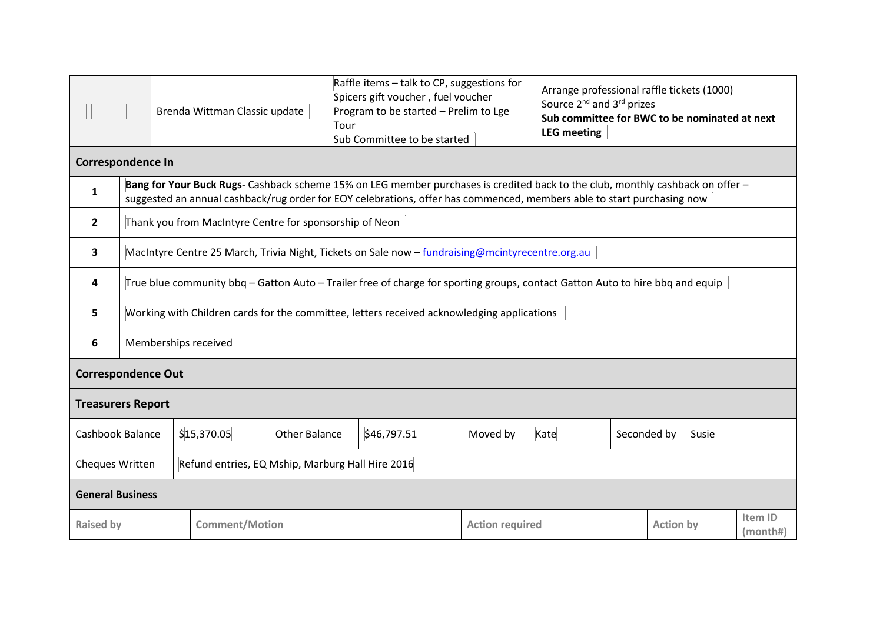|                                                                     |                  |                                                                                                                                                                                                                                                          |  | Brenda Wittman Classic update | Tour                 | Raffle items - talk to CP, suggestions for<br>Spicers gift voucher, fuel voucher<br>Program to be started - Prelim to Lge<br>Sub Committee to be started |                        | Arrange professional raffle tickets (1000)<br>Source 2 <sup>nd</sup> and 3 <sup>rd</sup> prizes<br>Sub committee for BWC to be nominated at next<br><b>LEG</b> meeting |             |                  |                     |  |
|---------------------------------------------------------------------|------------------|----------------------------------------------------------------------------------------------------------------------------------------------------------------------------------------------------------------------------------------------------------|--|-------------------------------|----------------------|----------------------------------------------------------------------------------------------------------------------------------------------------------|------------------------|------------------------------------------------------------------------------------------------------------------------------------------------------------------------|-------------|------------------|---------------------|--|
| <b>Correspondence In</b>                                            |                  |                                                                                                                                                                                                                                                          |  |                               |                      |                                                                                                                                                          |                        |                                                                                                                                                                        |             |                  |                     |  |
| $\mathbf{1}$                                                        |                  | Bang for Your Buck Rugs- Cashback scheme 15% on LEG member purchases is credited back to the club, monthly cashback on offer -<br>suggested an annual cashback/rug order for EOY celebrations, offer has commenced, members able to start purchasing now |  |                               |                      |                                                                                                                                                          |                        |                                                                                                                                                                        |             |                  |                     |  |
| $\overline{2}$                                                      |                  | Thank you from MacIntyre Centre for sponsorship of Neon                                                                                                                                                                                                  |  |                               |                      |                                                                                                                                                          |                        |                                                                                                                                                                        |             |                  |                     |  |
| $\overline{\mathbf{3}}$                                             |                  | MacIntyre Centre 25 March, Trivia Night, Tickets on Sale now - fundraising@mcintyrecentre.org.au                                                                                                                                                         |  |                               |                      |                                                                                                                                                          |                        |                                                                                                                                                                        |             |                  |                     |  |
| 4                                                                   |                  | True blue community bbq – Gatton Auto – Trailer free of charge for sporting groups, contact Gatton Auto to hire bbq and equip                                                                                                                            |  |                               |                      |                                                                                                                                                          |                        |                                                                                                                                                                        |             |                  |                     |  |
| 5                                                                   |                  | Working with Children cards for the committee, letters received acknowledging applications                                                                                                                                                               |  |                               |                      |                                                                                                                                                          |                        |                                                                                                                                                                        |             |                  |                     |  |
| 6                                                                   |                  | Memberships received                                                                                                                                                                                                                                     |  |                               |                      |                                                                                                                                                          |                        |                                                                                                                                                                        |             |                  |                     |  |
| <b>Correspondence Out</b>                                           |                  |                                                                                                                                                                                                                                                          |  |                               |                      |                                                                                                                                                          |                        |                                                                                                                                                                        |             |                  |                     |  |
| <b>Treasurers Report</b>                                            |                  |                                                                                                                                                                                                                                                          |  |                               |                      |                                                                                                                                                          |                        |                                                                                                                                                                        |             |                  |                     |  |
|                                                                     | Cashbook Balance |                                                                                                                                                                                                                                                          |  | \$15,370.05                   | <b>Other Balance</b> | \$46,797.51                                                                                                                                              | Moved by               | Kate                                                                                                                                                                   | Seconded by |                  | Susie               |  |
| Cheques Written<br>Refund entries, EQ Mship, Marburg Hall Hire 2016 |                  |                                                                                                                                                                                                                                                          |  |                               |                      |                                                                                                                                                          |                        |                                                                                                                                                                        |             |                  |                     |  |
| <b>General Business</b>                                             |                  |                                                                                                                                                                                                                                                          |  |                               |                      |                                                                                                                                                          |                        |                                                                                                                                                                        |             |                  |                     |  |
| <b>Raised by</b>                                                    |                  |                                                                                                                                                                                                                                                          |  | <b>Comment/Motion</b>         |                      |                                                                                                                                                          | <b>Action required</b> |                                                                                                                                                                        |             | <b>Action by</b> | Item ID<br>(month#) |  |